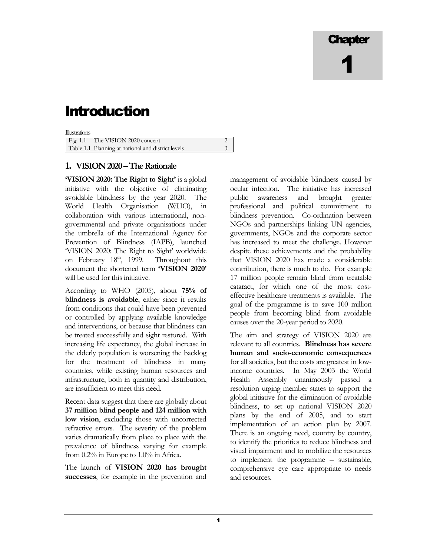# **Chapter** 1

## Introduction

| Illustrations |                                                    |  |
|---------------|----------------------------------------------------|--|
|               | Fig. 1.1 The VISION 2020 concept                   |  |
|               | Table 1.1 Planning at national and district levels |  |

#### **1.** VISION 2020 – The Rationale

'VISION 2020: The Right to Sight' is a global initiative with the objective of eliminating avoidable blindness by the year 2020. The World Health Organisation (WHO), in collaboration with various international, nongovernmental and private organisations under the umbrella of the International Agency for Prevention of Blindness (IAPB), launched 'VISION 2020: The Right to Sight' worldwide on February  $18<sup>th</sup>$ , 1999. Throughout this document the shortened term 'VISION 2020' will be used for this initiative.

According to WHO (2005), about 75% of blindness is avoidable, either since it results from conditions that could have been prevented or controlled by applying available knowledge and interventions, or because that blindness can be treated successfully and sight restored. With increasing life expectancy, the global increase in the elderly population is worsening the backlog for the treatment of blindness in many countries, while existing human resources and infrastructure, both in quantity and distribution, are insufficient to meet this need.

Recent data suggest that there are globally about 37 million blind people and 124 million with low vision, excluding those with uncorrected refractive errors. The severity of the problem varies dramatically from place to place with the prevalence of blindness varying for example from 0.2% in Europe to 1.0% in Africa.

The launch of VISION 2020 has brought successes, for example in the prevention and

management of avoidable blindness caused by ocular infection. The initiative has increased public awareness and brought greater professional and political commitment to blindness prevention. Co-ordination between NGOs and partnerships linking UN agencies, governments, NGOs and the corporate sector has increased to meet the challenge. However despite these achievements and the probability that VISION 2020 has made a considerable contribution, there is much to do. For example 17 million people remain blind from treatable cataract, for which one of the most costeffective healthcare treatments is available. The goal of the programme is to save 100 million people from becoming blind from avoidable causes over the 20-year period to 2020.

The aim and strategy of VISION 2020 are relevant to all countries. Blindness has severe human and socio-economic consequences for all societies, but the costs are greatest in lowincome countries. In May 2003 the World Health Assembly unanimously passed a resolution urging member states to support the global initiative for the elimination of avoidable blindness, to set up national VISION 2020 plans by the end of 2005, and to start implementation of an action plan by 2007. There is an ongoing need, country by country, to identify the priorities to reduce blindness and visual impairment and to mobilize the resources to implement the programme – sustainable, comprehensive eye care appropriate to needs and resources.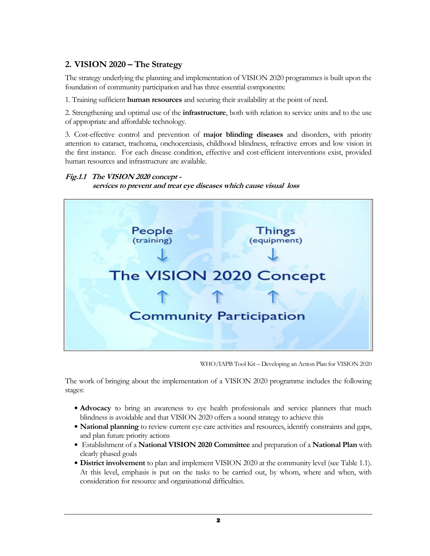#### 2. VISION 2020 – The Strategy

The strategy underlying the planning and implementation of VISION 2020 programmes is built upon the foundation of community participation and has three essential components:

1. Training sufficient human resources and securing their availability at the point of need.

2. Strengthening and optimal use of the **infrastructure**, both with relation to service units and to the use of appropriate and affordable technology.

3. Cost-effective control and prevention of major blinding diseases and disorders, with priority attention to cataract, trachoma, onchocerciasis, childhood blindness, refractive errors and low vision in the first instance. For each disease condition, effective and cost-efficient interventions exist, provided human resources and infrastructure are available.

#### Fig.1.1 The VISION 2020 concept -

services to prevent and treat eye diseases which cause visual loss



WHO/IAPB Tool Kit – Developing an Action Plan for VISION 2020

The work of bringing about the implementation of a VISION 2020 programme includes the following stages:

- Advocacy to bring an awareness to eye health professionals and service planners that much blindness is avoidable and that VISION 2020 offers a sound strategy to achieve this
- National planning to review current eye care activities and resources, identify constraints and gaps, and plan future priority actions
- Establishment of a National VISION 2020 Committee and preparation of a National Plan with clearly phased goals
- District involvement to plan and implement VISION 2020 at the community level (see Table 1.1). At this level, emphasis is put on the tasks to be carried out, by whom, where and when, with consideration for resource and organisational difficulties.